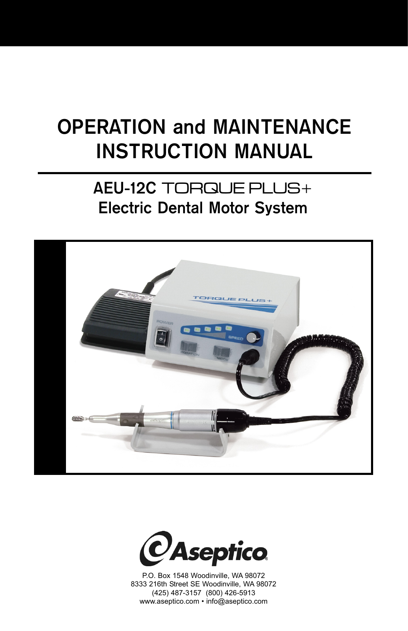# **OPERATION and MAINTENANCE INSTRUCTION MANUAL**

### **AEU-12C** TORQUE PLUS+ **Electric Dental Motor System**





P.O. Box 1548 Woodinville, WA 98072 8333 216th Street SE Woodinville, WA 98072 (425) 487-3157 (800) 426-5913 www.aseptico.com • info@aseptico.com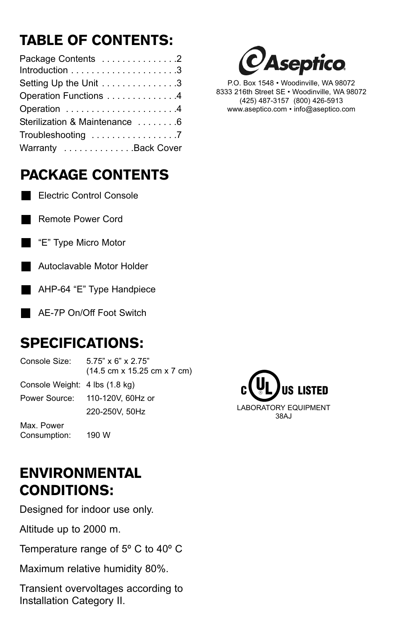# TABLE OF CONTENTS:

| Package Contents 2            |
|-------------------------------|
|                               |
| Setting Up the Unit 3         |
| Operation Functions 4         |
| Operation 4                   |
| Sterilization & Maintenance 6 |
| Troubleshooting 7             |
| Warranty Back Cover           |

# PACKAGE CONTENTS

**Electric Control Console** 

Remote Power Cord

- "E" Type Micro Motor
- Autoclavable Motor Holder



AE-7P On/Off Foot Switch

## SPECIFICATIONS:

Console Size: 5.75" x 6" x 2.75" (14.5 cm x 15.25 cm x 7 cm) Console Weight: 4 lbs (1.8 kg) Power Source: 110-120V, 60Hz or 220-250V, 50Hz Max. Power Consumption: 190 W



## ENVIRONMENTAL CONDITIONS:

Designed for indoor use only.

Altitude up to 2000 m.

Temperature range of 5º C to 40º C

Maximum relative humidity 80%.

Transient overvoltages according to Installation Category II.



P.O. Box 1548 • Woodinville, WA 98072 8333 216th Street SE • Woodinville, WA 98072 (425) 487-3157 (800) 426-5913 www.aseptico.com • info@aseptico.com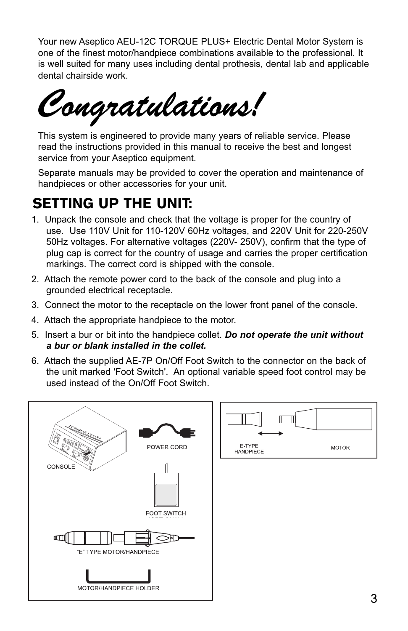Your new Aseptico AEU-12C TORQUE PLUS+ Electric Dental Motor System is one of the finest motor/handpiece combinations available to the professional. It is well suited for many uses including dental prothesis, dental lab and applicable dental chairside work.

This system is engineered to provide many years of re<br>read the instructions provided in this manual to receive This system is engineered to provide many years of reliable service. Please read the instructions provided in this manual to receive the best and longest service from your Aseptico equipment.

Separate manuals may be provided to cover the operation and maintenance of handpieces or other accessories for your unit.

#### SETTING UP THE UNIT:

- 1. Unpack the console and check that the voltage is proper for the country of use. Use 110V Unit for 110-120V 60Hz voltages, and 220V Unit for 220-250V 50Hz voltages. For alternative voltages (220V- 250V), confirm that the type of plug cap is correct for the country of usage and carries the proper certification markings. The correct cord is shipped with the console.
- 2. Attach the remote power cord to the back of the console and plug into a grounded electrical receptacle.
- 3. Connect the motor to the receptacle on the lower front panel of the console.
- 4. Attach the appropriate handpiece to the motor.
- 5. Insert a bur or bit into the handpiece collet. *Do not operate the unit without a bur or blank installed in the collet.*
- 6. Attach the supplied AE-7P On/Off Foot Switch to the connector on the back of the unit marked 'Foot Switch'. An optional variable speed foot control may be used instead of the On/Off Foot Switch.

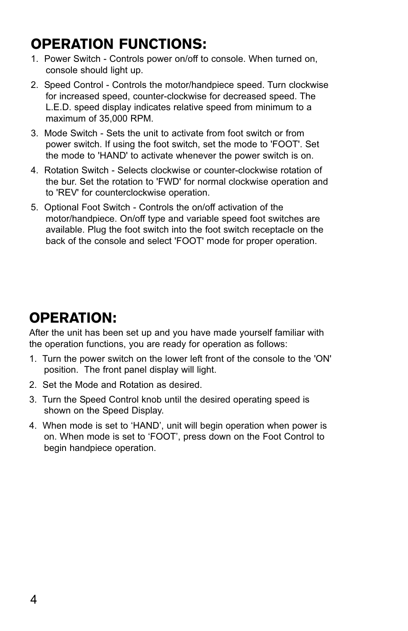# OPERATION FUNCTIONS:

- 1. Power Switch Controls power on/off to console. When turned on, console should light up.
- 2. Speed Control Controls the motor/handpiece speed. Turn clockwise for increased speed, counter-clockwise for decreased speed. The L.E.D. speed display indicates relative speed from minimum to a maximum of 35,000 RPM.
- 3. Mode Switch Sets the unit to activate from foot switch or from power switch. If using the foot switch, set the mode to 'FOOT'. Set the mode to 'HAND' to activate whenever the power switch is on.
- 4. Rotation Switch Selects clockwise or counter-clockwise rotation of the bur. Set the rotation to 'FWD' for normal clockwise operation and to 'REV' for counterclockwise operation.
- 5. Optional Foot Switch Controls the on/off activation of the motor/handpiece. On/off type and variable speed foot switches are available. Plug the foot switch into the foot switch receptacle on the back of the console and select 'FOOT' mode for proper operation.

#### OPERATION:

After the unit has been set up and you have made yourself familiar with the operation functions, you are ready for operation as follows:

- 1. Turn the power switch on the lower left front of the console to the 'ON' position. The front panel display will light.
- 2. Set the Mode and Rotation as desired.
- 3. Turn the Speed Control knob until the desired operating speed is shown on the Speed Display.
- 4. When mode is set to 'HAND', unit will begin operation when power is on. When mode is set to 'FOOT', press down on the Foot Control to begin handpiece operation.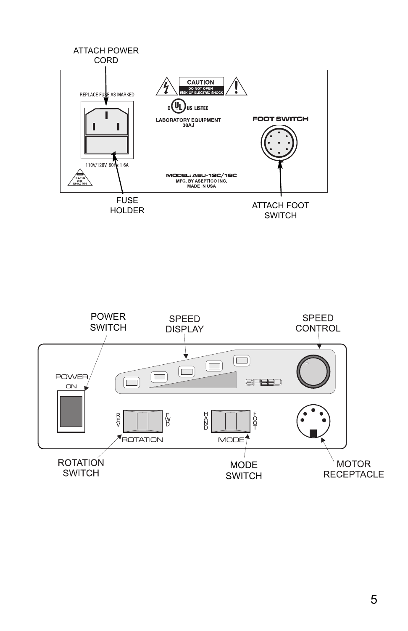

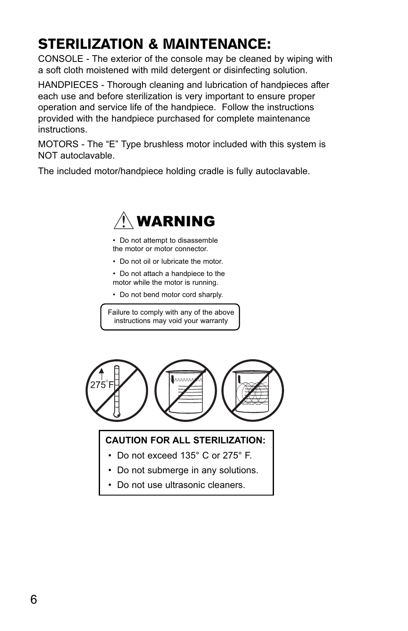# STERILIZATION & MAINTENANCE:

CONSOLE - The exterior of the console may be cleaned by wiping with a soft cloth moistened with mild detergent or disinfecting solution.

HANDPIECES - Thorough cleaning and lubrication of handpieces after each use and before sterilization is very important to ensure proper operation and service life of the handpiece. Follow the instructions provided with the handpiece purchased for complete maintenance instructions.

MOTORS - The "E" Type brushless motor included with this system is NOT autoclavable.

The included motor/handpiece holding cradle is fully autoclavable.



• Do not attempt to disassemble the motor or motor connector.

- Do not oil or lubricate the motor.
- Do not attach a handpiece to the motor while the motor is running.
- Do not bend motor cord sharply.

Failure to comply with any of the above instructions may void your warranty



#### **CAUTION FOR ALL STERILIZATION:**

- Do not exceed 135° C or 275° F.
- Do not submerge in any solutions.
- Do not use ultrasonic cleaners.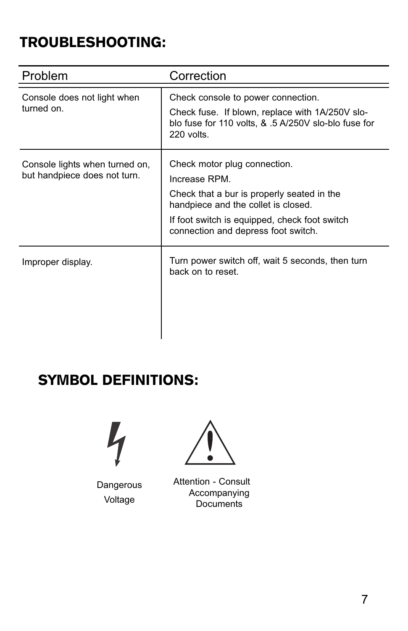## TROUBLESHOOTING:

| Problem                                                        | Correction                                                                                                                                                                                                                 |
|----------------------------------------------------------------|----------------------------------------------------------------------------------------------------------------------------------------------------------------------------------------------------------------------------|
| Console does not light when<br>turned on.                      | Check console to power connection.<br>Check fuse. If blown, replace with 1A/250V slo-<br>blo fuse for 110 volts, & .5 A/250V slo-blo fuse for<br>220 volts.                                                                |
| Console lights when turned on,<br>but handpiece does not turn. | Check motor plug connection.<br>Increase RPM.<br>Check that a bur is properly seated in the<br>handpiece and the collet is closed.<br>If foot switch is equipped, check foot switch<br>connection and depress foot switch. |
| Improper display.                                              | Turn power switch off, wait 5 seconds, then turn<br>back on to reset.                                                                                                                                                      |

#### SYMBOL DEFINITIONS:



**Dangerous** Voltage



Attention - Consult Accompanying **Documents**